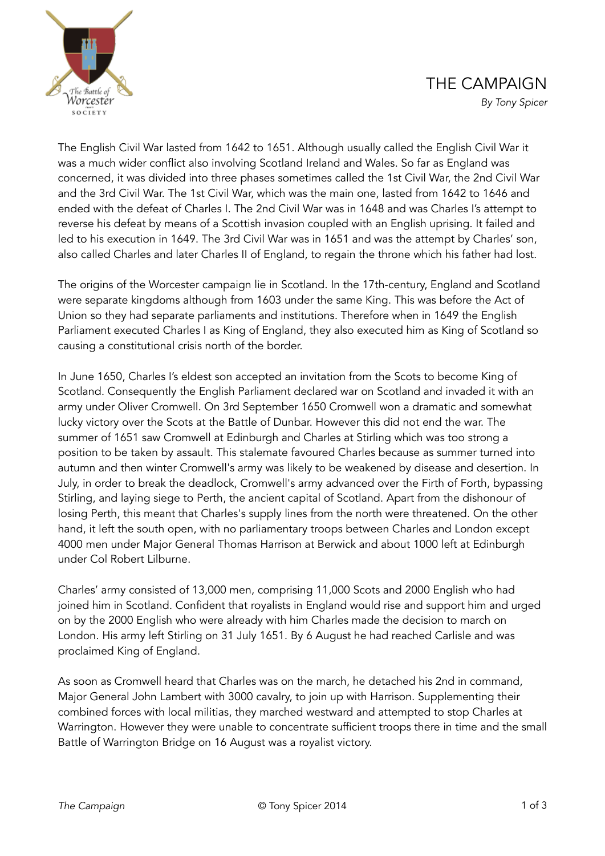



The English Civil War lasted from 1642 to 1651. Although usually called the English Civil War it was a much wider conflict also involving Scotland Ireland and Wales. So far as England was concerned, it was divided into three phases sometimes called the 1st Civil War, the 2nd Civil War and the 3rd Civil War. The 1st Civil War, which was the main one, lasted from 1642 to 1646 and ended with the defeat of Charles I. The 2nd Civil War was in 1648 and was Charles I's attempt to reverse his defeat by means of a Scottish invasion coupled with an English uprising. It failed and led to his execution in 1649. The 3rd Civil War was in 1651 and was the attempt by Charles' son, also called Charles and later Charles II of England, to regain the throne which his father had lost.

The origins of the Worcester campaign lie in Scotland. In the 17th-century, England and Scotland were separate kingdoms although from 1603 under the same King. This was before the Act of Union so they had separate parliaments and institutions. Therefore when in 1649 the English Parliament executed Charles I as King of England, they also executed him as King of Scotland so causing a constitutional crisis north of the border.

In June 1650, Charles I's eldest son accepted an invitation from the Scots to become King of Scotland. Consequently the English Parliament declared war on Scotland and invaded it with an army under Oliver Cromwell. On 3rd September 1650 Cromwell won a dramatic and somewhat lucky victory over the Scots at the Battle of Dunbar. However this did not end the war. The summer of 1651 saw Cromwell at Edinburgh and Charles at Stirling which was too strong a position to be taken by assault. This stalemate favoured Charles because as summer turned into autumn and then winter Cromwell's army was likely to be weakened by disease and desertion. In July, in order to break the deadlock, Cromwell's army advanced over the Firth of Forth, bypassing Stirling, and laying siege to Perth, the ancient capital of Scotland. Apart from the dishonour of losing Perth, this meant that Charles's supply lines from the north were threatened. On the other hand, it left the south open, with no parliamentary troops between Charles and London except 4000 men under Major General Thomas Harrison at Berwick and about 1000 left at Edinburgh under Col Robert Lilburne.

Charles' army consisted of 13,000 men, comprising 11,000 Scots and 2000 English who had joined him in Scotland. Confident that royalists in England would rise and support him and urged on by the 2000 English who were already with him Charles made the decision to march on London. His army left Stirling on 31 July 1651. By 6 August he had reached Carlisle and was proclaimed King of England.

As soon as Cromwell heard that Charles was on the march, he detached his 2nd in command, Major General John Lambert with 3000 cavalry, to join up with Harrison. Supplementing their combined forces with local militias, they marched westward and attempted to stop Charles at Warrington. However they were unable to concentrate sufficient troops there in time and the small Battle of Warrington Bridge on 16 August was a royalist victory.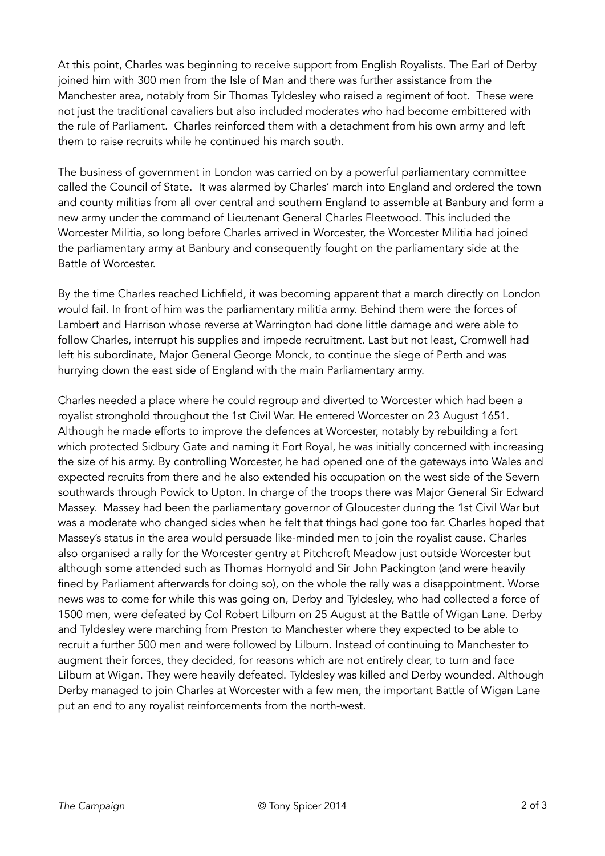At this point, Charles was beginning to receive support from English Royalists. The Earl of Derby joined him with 300 men from the Isle of Man and there was further assistance from the Manchester area, notably from Sir Thomas Tyldesley who raised a regiment of foot. These were not just the traditional cavaliers but also included moderates who had become embittered with the rule of Parliament. Charles reinforced them with a detachment from his own army and left them to raise recruits while he continued his march south.

The business of government in London was carried on by a powerful parliamentary committee called the Council of State. It was alarmed by Charles' march into England and ordered the town and county militias from all over central and southern England to assemble at Banbury and form a new army under the command of Lieutenant General Charles Fleetwood. This included the Worcester Militia, so long before Charles arrived in Worcester, the Worcester Militia had joined the parliamentary army at Banbury and consequently fought on the parliamentary side at the Battle of Worcester.

By the time Charles reached Lichfield, it was becoming apparent that a march directly on London would fail. In front of him was the parliamentary militia army. Behind them were the forces of Lambert and Harrison whose reverse at Warrington had done little damage and were able to follow Charles, interrupt his supplies and impede recruitment. Last but not least, Cromwell had left his subordinate, Major General George Monck, to continue the siege of Perth and was hurrying down the east side of England with the main Parliamentary army.

Charles needed a place where he could regroup and diverted to Worcester which had been a royalist stronghold throughout the 1st Civil War. He entered Worcester on 23 August 1651. Although he made efforts to improve the defences at Worcester, notably by rebuilding a fort which protected Sidbury Gate and naming it Fort Royal, he was initially concerned with increasing the size of his army. By controlling Worcester, he had opened one of the gateways into Wales and expected recruits from there and he also extended his occupation on the west side of the Severn southwards through Powick to Upton. In charge of the troops there was Major General Sir Edward Massey. Massey had been the parliamentary governor of Gloucester during the 1st Civil War but was a moderate who changed sides when he felt that things had gone too far. Charles hoped that Massey's status in the area would persuade like-minded men to join the royalist cause. Charles also organised a rally for the Worcester gentry at Pitchcroft Meadow just outside Worcester but although some attended such as Thomas Hornyold and Sir John Packington (and were heavily fined by Parliament afterwards for doing so), on the whole the rally was a disappointment. Worse news was to come for while this was going on, Derby and Tyldesley, who had collected a force of 1500 men, were defeated by Col Robert Lilburn on 25 August at the Battle of Wigan Lane. Derby and Tyldesley were marching from Preston to Manchester where they expected to be able to recruit a further 500 men and were followed by Lilburn. Instead of continuing to Manchester to augment their forces, they decided, for reasons which are not entirely clear, to turn and face Lilburn at Wigan. They were heavily defeated. Tyldesley was killed and Derby wounded. Although Derby managed to join Charles at Worcester with a few men, the important Battle of Wigan Lane put an end to any royalist reinforcements from the north-west.